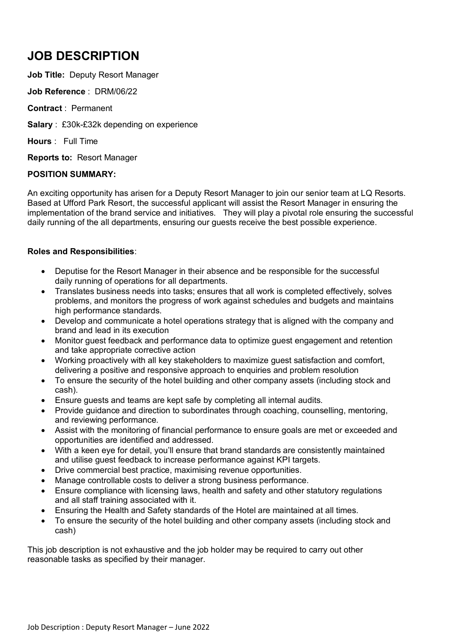# **JOB DESCRIPTION**

**Job Title:** Deputy Resort Manager

**Job Reference** : DRM/06/22

**Contract** : Permanent

**Salary** : £30k-£32k depending on experience

**Hours** : Full Time

**Reports to:** Resort Manager

# **POSITION SUMMARY:**

An exciting opportunity has arisen for a Deputy Resort Manager to join our senior team at LQ Resorts. Based at Ufford Park Resort, the successful applicant will assist the Resort Manager in ensuring the implementation of the brand service and initiatives. They will play a pivotal role ensuring the successful daily running of the all departments, ensuring our guests receive the best possible experience.

# **Roles and Responsibilities**:

- Deputise for the Resort Manager in their absence and be responsible for the successful daily running of operations for all departments.
- Translates business needs into tasks; ensures that all work is completed effectively, solves problems, and monitors the progress of work against schedules and budgets and maintains high performance standards.
- Develop and communicate a hotel operations strategy that is aligned with the company and brand and lead in its execution
- Monitor guest feedback and performance data to optimize guest engagement and retention and take appropriate corrective action
- Working proactively with all key stakeholders to maximize guest satisfaction and comfort, delivering a positive and responsive approach to enquiries and problem resolution
- To ensure the security of the hotel building and other company assets (including stock and cash).
- Ensure guests and teams are kept safe by completing all internal audits.
- Provide guidance and direction to subordinates through coaching, counselling, mentoring, and reviewing performance.
- Assist with the monitoring of financial performance to ensure goals are met or exceeded and opportunities are identified and addressed.
- With a keen eye for detail, you'll ensure that brand standards are consistently maintained and utilise guest feedback to increase performance against KPI targets.
- Drive commercial best practice, maximising revenue opportunities.
- Manage controllable costs to deliver a strong business performance.
- Ensure compliance with licensing laws, health and safety and other statutory regulations and all staff training associated with it.
- Ensuring the Health and Safety standards of the Hotel are maintained at all times.
- To ensure the security of the hotel building and other company assets (including stock and cash)

This job description is not exhaustive and the job holder may be required to carry out other reasonable tasks as specified by their manager.